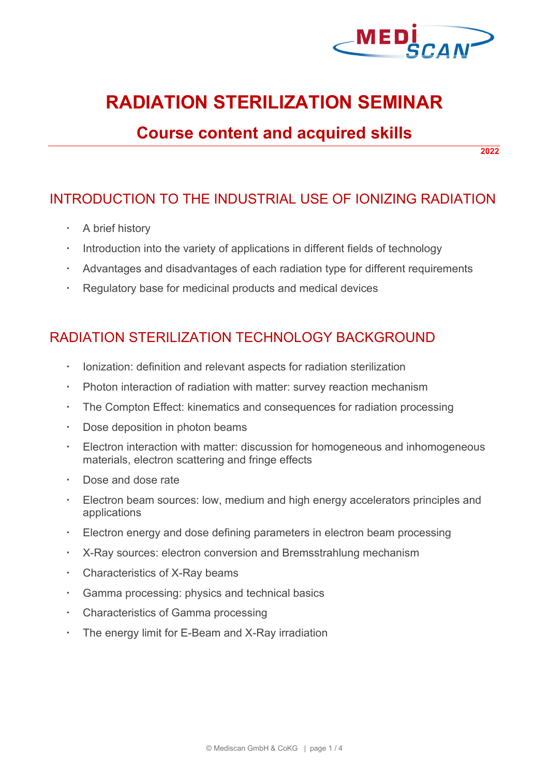

# **RADIATION STERILIZATION SEMINAR**

# **Course content and acquired skills**

**2022**

## INTRODUCTION TO THE INDUSTRIAL USE OF IONIZING RADIATION

- A brief history
- Introduction into the variety of applications in different fields of technology
- Advantages and disadvantages of each radiation type for different requirements
- Regulatory base for medicinal products and medical devices

#### RADIATION STERILIZATION TECHNOLOGY BACKGROUND

- Inity-lonization: definition and relevant aspects for radiation sterilization
- Photon interaction of radiation with matter: survey reaction mechanism
- The Compton Effect: kinematics and consequences for radiation processing
- Dose deposition in photon beams
- Electron interaction with matter: discussion for homogeneous and inhomogeneous materials, electron scattering and fringe effects
- Dose and dose rate
- Electron beam sources: low, medium and high energy accelerators principles and applications
- Electron energy and dose defining parameters in electron beam processing
- X-Ray sources: electron conversion and Bremsstrahlung mechanism
- Characteristics of X-Ray beams
- Gamma processing: physics and technical basics
- Characteristics of Gamma processing
- The energy limit for E-Beam and X-Ray irradiation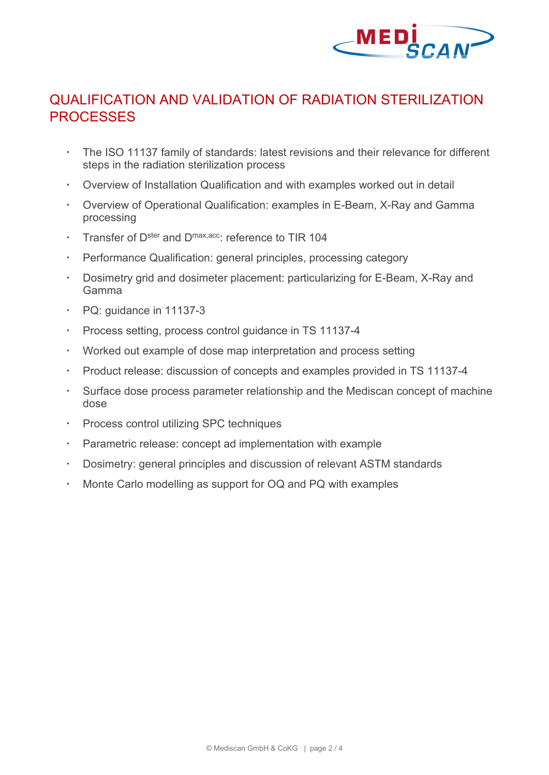

#### QUALIFICATION AND VALIDATION OF RADIATION STERILIZATION **PROCESSES**

- The ISO 11137 family of standards: latest revisions and their relevance for different steps in the radiation sterilization process
- Overview of Installation Qualification and with examples worked out in detail
- Overview of Operational Qualification: examples in E-Beam, X-Ray and Gamma processing
- Transfer of D<sup>ster</sup> and D<sup>max, acc</sup>: reference to TIR 104
- Performance Qualification: general principles, processing category
- Dosimetry grid and dosimeter placement: particularizing for E-Beam, X-Ray and Gamma
- PQ: guidance in 11137-3
- Process setting, process control guidance in TS 11137-4
- Worked out example of dose map interpretation and process setting
- Product release: discussion of concepts and examples provided in TS 11137-4
- Surface dose process parameter relationship and the Mediscan concept of machine dose
- Process control utilizing SPC techniques
- Parametric release: concept ad implementation with example
- Dosimetry: general principles and discussion of relevant ASTM standards
- Monte Carlo modelling as support for OQ and PQ with examples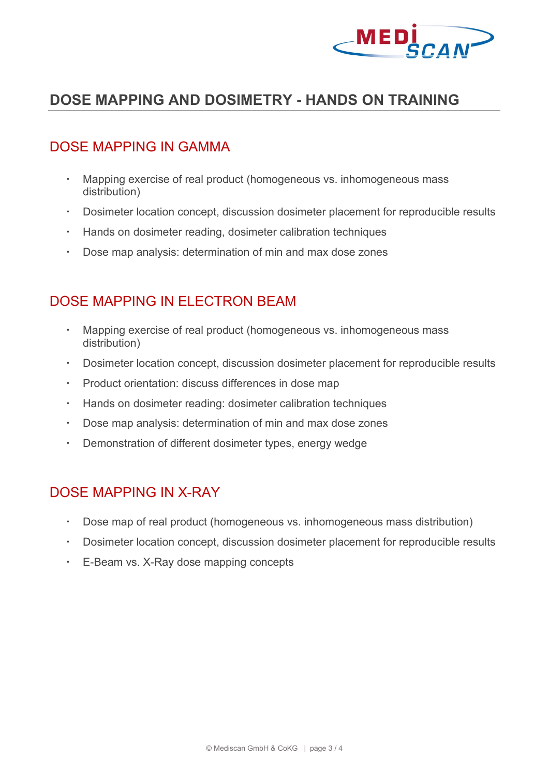

## **DOSE MAPPING AND DOSIMETRY - HANDS ON TRAINING**

#### DOSE MAPPING IN GAMMA

- Mapping exercise of real product (homogeneous vs. inhomogeneous mass distribution)
- Dosimeter location concept, discussion dosimeter placement for reproducible results
- Hands on dosimeter reading, dosimeter calibration techniques
- Dose map analysis: determination of min and max dose zones

#### DOSE MAPPING IN ELECTRON BEAM

- Mapping exercise of real product (homogeneous vs. inhomogeneous mass distribution)
- Dosimeter location concept, discussion dosimeter placement for reproducible results
- Product orientation: discuss differences in dose map
- Hands on dosimeter reading: dosimeter calibration techniques
- Dose map analysis: determination of min and max dose zones
- Demonstration of different dosimeter types, energy wedge

#### DOSE MAPPING IN X-RAY

- Dose map of real product (homogeneous vs. inhomogeneous mass distribution)
- Dosimeter location concept, discussion dosimeter placement for reproducible results
- E-Beam vs. X-Ray dose mapping concepts